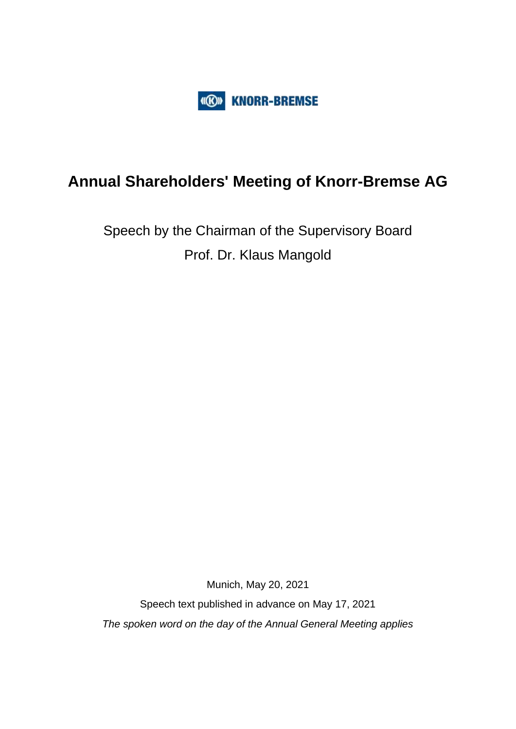

## **Annual Shareholders' Meeting of Knorr-Bremse AG**

# Speech by the Chairman of the Supervisory Board Prof. Dr. Klaus Mangold

Munich, May 20, 2021

Speech text published in advance on May 17, 2021 *The spoken word on the day of the Annual General Meeting applies*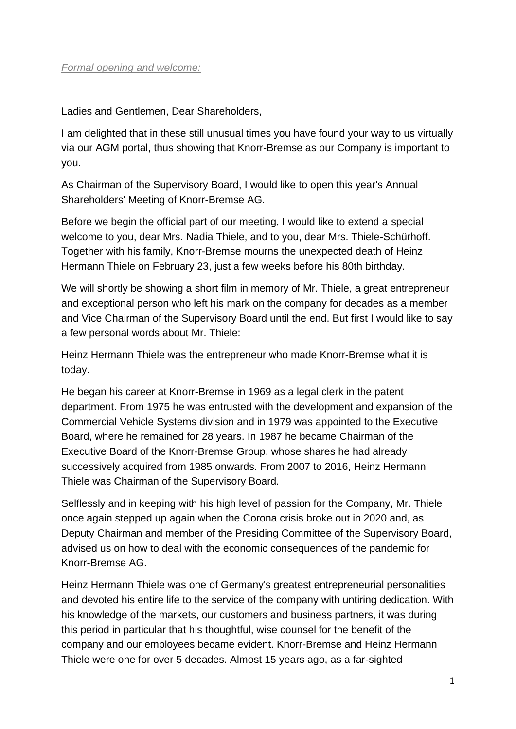Ladies and Gentlemen, Dear Shareholders,

I am delighted that in these still unusual times you have found your way to us virtually via our AGM portal, thus showing that Knorr-Bremse as our Company is important to you.

As Chairman of the Supervisory Board, I would like to open this year's Annual Shareholders' Meeting of Knorr-Bremse AG.

Before we begin the official part of our meeting, I would like to extend a special welcome to you, dear Mrs. Nadia Thiele, and to you, dear Mrs. Thiele-Schürhoff. Together with his family, Knorr-Bremse mourns the unexpected death of Heinz Hermann Thiele on February 23, just a few weeks before his 80th birthday.

We will shortly be showing a short film in memory of Mr. Thiele, a great entrepreneur and exceptional person who left his mark on the company for decades as a member and Vice Chairman of the Supervisory Board until the end. But first I would like to say a few personal words about Mr. Thiele:

Heinz Hermann Thiele was the entrepreneur who made Knorr-Bremse what it is today.

He began his career at Knorr-Bremse in 1969 as a legal clerk in the patent department. From 1975 he was entrusted with the development and expansion of the Commercial Vehicle Systems division and in 1979 was appointed to the Executive Board, where he remained for 28 years. In 1987 he became Chairman of the Executive Board of the Knorr-Bremse Group, whose shares he had already successively acquired from 1985 onwards. From 2007 to 2016, Heinz Hermann Thiele was Chairman of the Supervisory Board.

Selflessly and in keeping with his high level of passion for the Company, Mr. Thiele once again stepped up again when the Corona crisis broke out in 2020 and, as Deputy Chairman and member of the Presiding Committee of the Supervisory Board, advised us on how to deal with the economic consequences of the pandemic for Knorr-Bremse AG.

Heinz Hermann Thiele was one of Germany's greatest entrepreneurial personalities and devoted his entire life to the service of the company with untiring dedication. With his knowledge of the markets, our customers and business partners, it was during this period in particular that his thoughtful, wise counsel for the benefit of the company and our employees became evident. Knorr-Bremse and Heinz Hermann Thiele were one for over 5 decades. Almost 15 years ago, as a far-sighted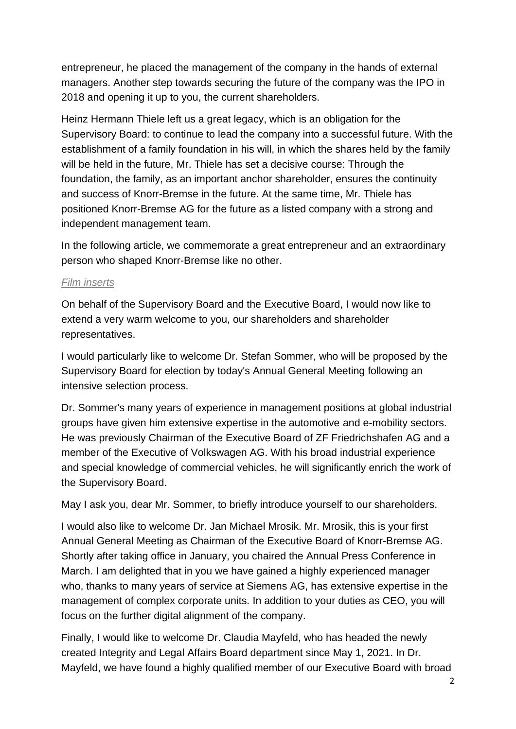entrepreneur, he placed the management of the company in the hands of external managers. Another step towards securing the future of the company was the IPO in 2018 and opening it up to you, the current shareholders.

Heinz Hermann Thiele left us a great legacy, which is an obligation for the Supervisory Board: to continue to lead the company into a successful future. With the establishment of a family foundation in his will, in which the shares held by the family will be held in the future, Mr. Thiele has set a decisive course: Through the foundation, the family, as an important anchor shareholder, ensures the continuity and success of Knorr-Bremse in the future. At the same time, Mr. Thiele has positioned Knorr-Bremse AG for the future as a listed company with a strong and independent management team.

In the following article, we commemorate a great entrepreneur and an extraordinary person who shaped Knorr-Bremse like no other.

### *Film inserts*

On behalf of the Supervisory Board and the Executive Board, I would now like to extend a very warm welcome to you, our shareholders and shareholder representatives.

I would particularly like to welcome Dr. Stefan Sommer, who will be proposed by the Supervisory Board for election by today's Annual General Meeting following an intensive selection process.

Dr. Sommer's many years of experience in management positions at global industrial groups have given him extensive expertise in the automotive and e-mobility sectors. He was previously Chairman of the Executive Board of ZF Friedrichshafen AG and a member of the Executive of Volkswagen AG. With his broad industrial experience and special knowledge of commercial vehicles, he will significantly enrich the work of the Supervisory Board.

May I ask you, dear Mr. Sommer, to briefly introduce yourself to our shareholders.

I would also like to welcome Dr. Jan Michael Mrosik. Mr. Mrosik, this is your first Annual General Meeting as Chairman of the Executive Board of Knorr-Bremse AG. Shortly after taking office in January, you chaired the Annual Press Conference in March. I am delighted that in you we have gained a highly experienced manager who, thanks to many years of service at Siemens AG, has extensive expertise in the management of complex corporate units. In addition to your duties as CEO, you will focus on the further digital alignment of the company.

Finally, I would like to welcome Dr. Claudia Mayfeld, who has headed the newly created Integrity and Legal Affairs Board department since May 1, 2021. In Dr. Mayfeld, we have found a highly qualified member of our Executive Board with broad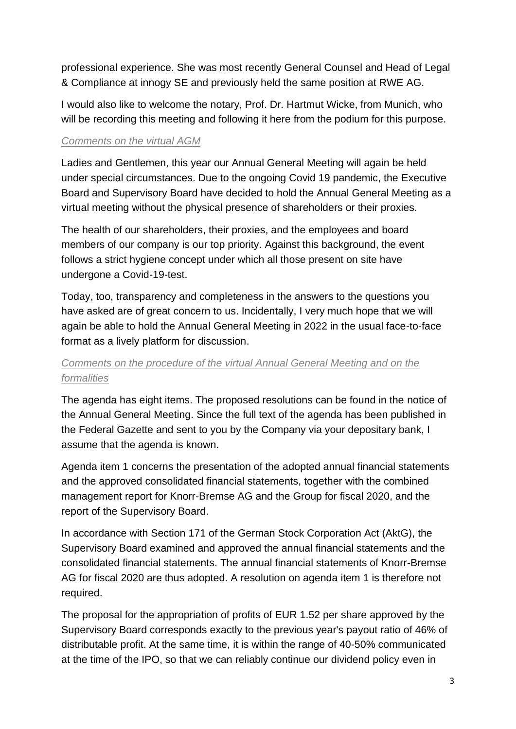professional experience. She was most recently General Counsel and Head of Legal & Compliance at innogy SE and previously held the same position at RWE AG.

I would also like to welcome the notary, Prof. Dr. Hartmut Wicke, from Munich, who will be recording this meeting and following it here from the podium for this purpose.

#### *Comments on the virtual AGM*

Ladies and Gentlemen, this year our Annual General Meeting will again be held under special circumstances. Due to the ongoing Covid 19 pandemic, the Executive Board and Supervisory Board have decided to hold the Annual General Meeting as a virtual meeting without the physical presence of shareholders or their proxies.

The health of our shareholders, their proxies, and the employees and board members of our company is our top priority. Against this background, the event follows a strict hygiene concept under which all those present on site have undergone a Covid-19-test.

Today, too, transparency and completeness in the answers to the questions you have asked are of great concern to us. Incidentally, I very much hope that we will again be able to hold the Annual General Meeting in 2022 in the usual face-to-face format as a lively platform for discussion.

## *Comments on the procedure of the virtual Annual General Meeting and on the formalities*

The agenda has eight items. The proposed resolutions can be found in the notice of the Annual General Meeting. Since the full text of the agenda has been published in the Federal Gazette and sent to you by the Company via your depositary bank, I assume that the agenda is known.

Agenda item 1 concerns the presentation of the adopted annual financial statements and the approved consolidated financial statements, together with the combined management report for Knorr-Bremse AG and the Group for fiscal 2020, and the report of the Supervisory Board.

In accordance with Section 171 of the German Stock Corporation Act (AktG), the Supervisory Board examined and approved the annual financial statements and the consolidated financial statements. The annual financial statements of Knorr-Bremse AG for fiscal 2020 are thus adopted. A resolution on agenda item 1 is therefore not required.

The proposal for the appropriation of profits of EUR 1.52 per share approved by the Supervisory Board corresponds exactly to the previous year's payout ratio of 46% of distributable profit. At the same time, it is within the range of 40-50% communicated at the time of the IPO, so that we can reliably continue our dividend policy even in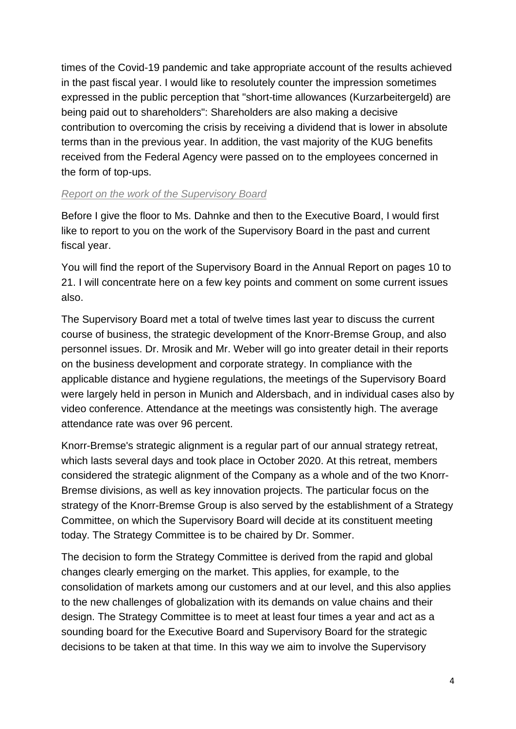times of the Covid-19 pandemic and take appropriate account of the results achieved in the past fiscal year. I would like to resolutely counter the impression sometimes expressed in the public perception that "short-time allowances (Kurzarbeitergeld) are being paid out to shareholders": Shareholders are also making a decisive contribution to overcoming the crisis by receiving a dividend that is lower in absolute terms than in the previous year. In addition, the vast majority of the KUG benefits received from the Federal Agency were passed on to the employees concerned in the form of top-ups.

### *Report on the work of the Supervisory Board*

Before I give the floor to Ms. Dahnke and then to the Executive Board, I would first like to report to you on the work of the Supervisory Board in the past and current fiscal year.

You will find the report of the Supervisory Board in the Annual Report on pages 10 to 21. I will concentrate here on a few key points and comment on some current issues also.

The Supervisory Board met a total of twelve times last year to discuss the current course of business, the strategic development of the Knorr-Bremse Group, and also personnel issues. Dr. Mrosik and Mr. Weber will go into greater detail in their reports on the business development and corporate strategy. In compliance with the applicable distance and hygiene regulations, the meetings of the Supervisory Board were largely held in person in Munich and Aldersbach, and in individual cases also by video conference. Attendance at the meetings was consistently high. The average attendance rate was over 96 percent.

Knorr-Bremse's strategic alignment is a regular part of our annual strategy retreat, which lasts several days and took place in October 2020. At this retreat, members considered the strategic alignment of the Company as a whole and of the two Knorr-Bremse divisions, as well as key innovation projects. The particular focus on the strategy of the Knorr-Bremse Group is also served by the establishment of a Strategy Committee, on which the Supervisory Board will decide at its constituent meeting today. The Strategy Committee is to be chaired by Dr. Sommer.

The decision to form the Strategy Committee is derived from the rapid and global changes clearly emerging on the market. This applies, for example, to the consolidation of markets among our customers and at our level, and this also applies to the new challenges of globalization with its demands on value chains and their design. The Strategy Committee is to meet at least four times a year and act as a sounding board for the Executive Board and Supervisory Board for the strategic decisions to be taken at that time. In this way we aim to involve the Supervisory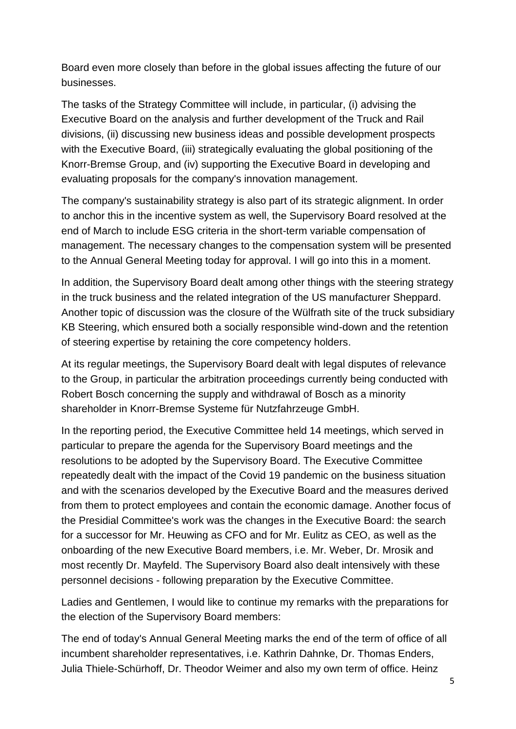Board even more closely than before in the global issues affecting the future of our businesses.

The tasks of the Strategy Committee will include, in particular, (i) advising the Executive Board on the analysis and further development of the Truck and Rail divisions, (ii) discussing new business ideas and possible development prospects with the Executive Board, (iii) strategically evaluating the global positioning of the Knorr-Bremse Group, and (iv) supporting the Executive Board in developing and evaluating proposals for the company's innovation management.

The company's sustainability strategy is also part of its strategic alignment. In order to anchor this in the incentive system as well, the Supervisory Board resolved at the end of March to include ESG criteria in the short-term variable compensation of management. The necessary changes to the compensation system will be presented to the Annual General Meeting today for approval. I will go into this in a moment.

In addition, the Supervisory Board dealt among other things with the steering strategy in the truck business and the related integration of the US manufacturer Sheppard. Another topic of discussion was the closure of the Wülfrath site of the truck subsidiary KB Steering, which ensured both a socially responsible wind-down and the retention of steering expertise by retaining the core competency holders.

At its regular meetings, the Supervisory Board dealt with legal disputes of relevance to the Group, in particular the arbitration proceedings currently being conducted with Robert Bosch concerning the supply and withdrawal of Bosch as a minority shareholder in Knorr-Bremse Systeme für Nutzfahrzeuge GmbH.

In the reporting period, the Executive Committee held 14 meetings, which served in particular to prepare the agenda for the Supervisory Board meetings and the resolutions to be adopted by the Supervisory Board. The Executive Committee repeatedly dealt with the impact of the Covid 19 pandemic on the business situation and with the scenarios developed by the Executive Board and the measures derived from them to protect employees and contain the economic damage. Another focus of the Presidial Committee's work was the changes in the Executive Board: the search for a successor for Mr. Heuwing as CFO and for Mr. Eulitz as CEO, as well as the onboarding of the new Executive Board members, i.e. Mr. Weber, Dr. Mrosik and most recently Dr. Mayfeld. The Supervisory Board also dealt intensively with these personnel decisions - following preparation by the Executive Committee.

Ladies and Gentlemen, I would like to continue my remarks with the preparations for the election of the Supervisory Board members:

The end of today's Annual General Meeting marks the end of the term of office of all incumbent shareholder representatives, i.e. Kathrin Dahnke, Dr. Thomas Enders, Julia Thiele-Schürhoff, Dr. Theodor Weimer and also my own term of office. Heinz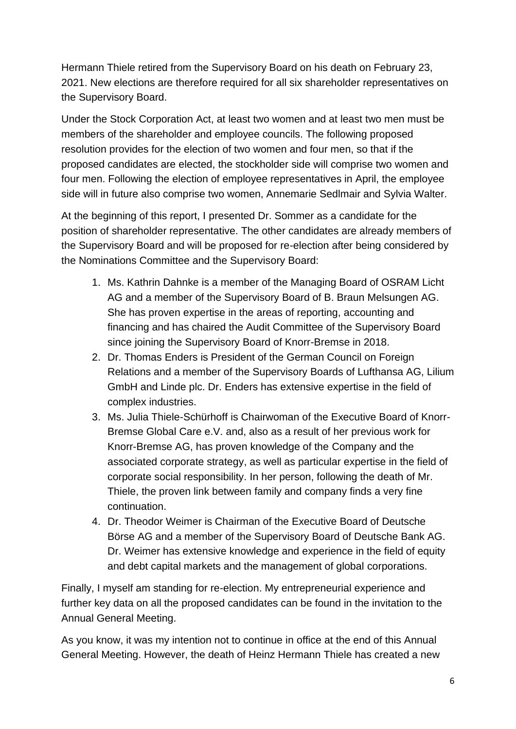Hermann Thiele retired from the Supervisory Board on his death on February 23, 2021. New elections are therefore required for all six shareholder representatives on the Supervisory Board.

Under the Stock Corporation Act, at least two women and at least two men must be members of the shareholder and employee councils. The following proposed resolution provides for the election of two women and four men, so that if the proposed candidates are elected, the stockholder side will comprise two women and four men. Following the election of employee representatives in April, the employee side will in future also comprise two women, Annemarie Sedlmair and Sylvia Walter.

At the beginning of this report, I presented Dr. Sommer as a candidate for the position of shareholder representative. The other candidates are already members of the Supervisory Board and will be proposed for re-election after being considered by the Nominations Committee and the Supervisory Board:

- 1. Ms. Kathrin Dahnke is a member of the Managing Board of OSRAM Licht AG and a member of the Supervisory Board of B. Braun Melsungen AG. She has proven expertise in the areas of reporting, accounting and financing and has chaired the Audit Committee of the Supervisory Board since joining the Supervisory Board of Knorr-Bremse in 2018.
- 2. Dr. Thomas Enders is President of the German Council on Foreign Relations and a member of the Supervisory Boards of Lufthansa AG, Lilium GmbH and Linde plc. Dr. Enders has extensive expertise in the field of complex industries.
- 3. Ms. Julia Thiele-Schürhoff is Chairwoman of the Executive Board of Knorr-Bremse Global Care e.V. and, also as a result of her previous work for Knorr-Bremse AG, has proven knowledge of the Company and the associated corporate strategy, as well as particular expertise in the field of corporate social responsibility. In her person, following the death of Mr. Thiele, the proven link between family and company finds a very fine continuation.
- 4. Dr. Theodor Weimer is Chairman of the Executive Board of Deutsche Börse AG and a member of the Supervisory Board of Deutsche Bank AG. Dr. Weimer has extensive knowledge and experience in the field of equity and debt capital markets and the management of global corporations.

Finally, I myself am standing for re-election. My entrepreneurial experience and further key data on all the proposed candidates can be found in the invitation to the Annual General Meeting.

As you know, it was my intention not to continue in office at the end of this Annual General Meeting. However, the death of Heinz Hermann Thiele has created a new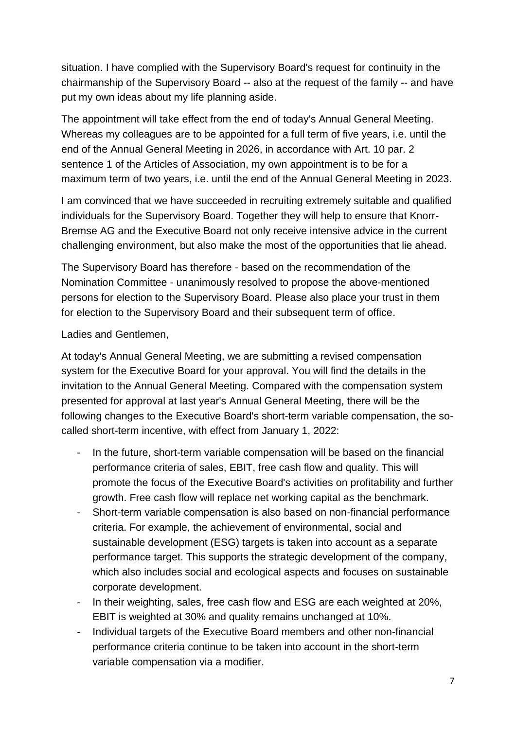situation. I have complied with the Supervisory Board's request for continuity in the chairmanship of the Supervisory Board -- also at the request of the family -- and have put my own ideas about my life planning aside.

The appointment will take effect from the end of today's Annual General Meeting. Whereas my colleagues are to be appointed for a full term of five years, i.e. until the end of the Annual General Meeting in 2026, in accordance with Art. 10 par. 2 sentence 1 of the Articles of Association, my own appointment is to be for a maximum term of two years, i.e. until the end of the Annual General Meeting in 2023.

I am convinced that we have succeeded in recruiting extremely suitable and qualified individuals for the Supervisory Board. Together they will help to ensure that Knorr-Bremse AG and the Executive Board not only receive intensive advice in the current challenging environment, but also make the most of the opportunities that lie ahead.

The Supervisory Board has therefore - based on the recommendation of the Nomination Committee - unanimously resolved to propose the above-mentioned persons for election to the Supervisory Board. Please also place your trust in them for election to the Supervisory Board and their subsequent term of office.

Ladies and Gentlemen,

At today's Annual General Meeting, we are submitting a revised compensation system for the Executive Board for your approval. You will find the details in the invitation to the Annual General Meeting. Compared with the compensation system presented for approval at last year's Annual General Meeting, there will be the following changes to the Executive Board's short-term variable compensation, the socalled short-term incentive, with effect from January 1, 2022:

- In the future, short-term variable compensation will be based on the financial performance criteria of sales, EBIT, free cash flow and quality. This will promote the focus of the Executive Board's activities on profitability and further growth. Free cash flow will replace net working capital as the benchmark.
- Short-term variable compensation is also based on non-financial performance criteria. For example, the achievement of environmental, social and sustainable development (ESG) targets is taken into account as a separate performance target. This supports the strategic development of the company, which also includes social and ecological aspects and focuses on sustainable corporate development.
- In their weighting, sales, free cash flow and ESG are each weighted at 20%, EBIT is weighted at 30% and quality remains unchanged at 10%.
- Individual targets of the Executive Board members and other non-financial performance criteria continue to be taken into account in the short-term variable compensation via a modifier.